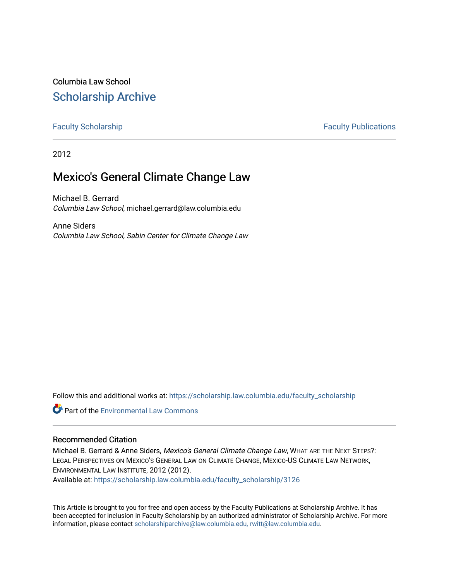# Columbia Law School [Scholarship Archive](https://scholarship.law.columbia.edu/)

### [Faculty Scholarship](https://scholarship.law.columbia.edu/faculty_scholarship) **Faculty Scholarship Faculty Publications**

2012

## Mexico's General Climate Change Law

Michael B. Gerrard Columbia Law School, michael.gerrard@law.columbia.edu

Anne Siders Columbia Law School, Sabin Center for Climate Change Law

Follow this and additional works at: [https://scholarship.law.columbia.edu/faculty\\_scholarship](https://scholarship.law.columbia.edu/faculty_scholarship?utm_source=scholarship.law.columbia.edu%2Ffaculty_scholarship%2F3126&utm_medium=PDF&utm_campaign=PDFCoverPages)

**Part of the [Environmental Law Commons](http://network.bepress.com/hgg/discipline/599?utm_source=scholarship.law.columbia.edu%2Ffaculty_scholarship%2F3126&utm_medium=PDF&utm_campaign=PDFCoverPages)** 

#### Recommended Citation

Michael B. Gerrard & Anne Siders, Mexico's General Climate Change Law, WHAT ARE THE NEXT STEPS?: LEGAL PERSPECTIVES ON MEXICO'S GENERAL LAW ON CLIMATE CHANGE, MEXICO-US CLIMATE LAW NETWORK, ENVIRONMENTAL LAW INSTITUTE, 2012 (2012).

Available at: [https://scholarship.law.columbia.edu/faculty\\_scholarship/3126](https://scholarship.law.columbia.edu/faculty_scholarship/3126?utm_source=scholarship.law.columbia.edu%2Ffaculty_scholarship%2F3126&utm_medium=PDF&utm_campaign=PDFCoverPages)

This Article is brought to you for free and open access by the Faculty Publications at Scholarship Archive. It has been accepted for inclusion in Faculty Scholarship by an authorized administrator of Scholarship Archive. For more information, please contact [scholarshiparchive@law.columbia.edu, rwitt@law.columbia.edu](mailto:scholarshiparchive@law.columbia.edu,%20rwitt@law.columbia.edu).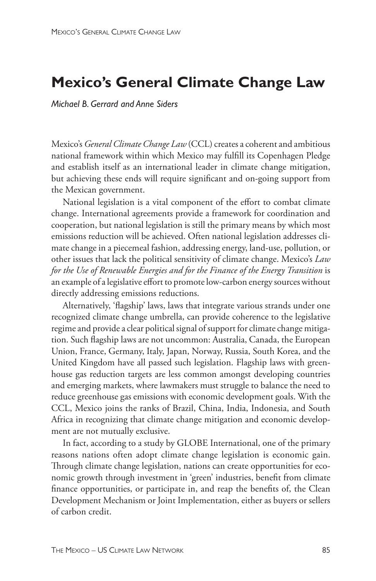## **Mexico's General Climate Change Law**

*Michael B. Gerrard and Anne Siders*

Mexico's *General Climate Change Law* (CCL) creates a coherent and ambitious national framework within which Mexico may fulfill its Copenhagen Pledge and establish itself as an international leader in climate change mitigation, but achieving these ends will require significant and on-going support from the Mexican government.

National legislation is a vital component of the effort to combat climate change. International agreements provide a framework for coordination and cooperation, but national legislation is still the primary means by which most emissions reduction will be achieved. Often national legislation addresses climate change in a piecemeal fashion, addressing energy, land-use, pollution, or other issues that lack the political sensitivity of climate change. Mexico's *Law for the Use of Renewable Energies and for the Finance of the Energy Transition* is an example of a legislative effort to promote low-carbon energy sources without directly addressing emissions reductions.

Alternatively, 'flagship' laws, laws that integrate various strands under one recognized climate change umbrella, can provide coherence to the legislative regime and provide a clear political signal of support for climate change mitigation. Such flagship laws are not uncommon: Australia, Canada, the European Union, France, Germany, Italy, Japan, Norway, Russia, South Korea, and the United Kingdom have all passed such legislation. Flagship laws with greenhouse gas reduction targets are less common amongst developing countries and emerging markets, where lawmakers must struggle to balance the need to reduce greenhouse gas emissions with economic development goals. With the CCL, Mexico joins the ranks of Brazil, China, India, Indonesia, and South Africa in recognizing that climate change mitigation and economic development are not mutually exclusive.

In fact, according to a study by GLOBE International, one of the primary reasons nations often adopt climate change legislation is economic gain. Through climate change legislation, nations can create opportunities for economic growth through investment in 'green' industries, benefit from climate finance opportunities, or participate in, and reap the benefits of, the Clean Development Mechanism or Joint Implementation, either as buyers or sellers of carbon credit.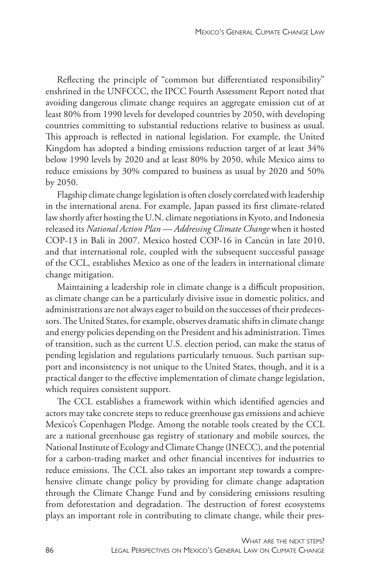Reflecting the principle of "common but differentiated responsibility" enshrined in the UNFCCC, the IPCC Fourth Assessment Report noted that avoiding dangerous climate change requires an aggregate emission cut of at least 80% from 1990 levels for developed countries by 2050, with developing countries committing to substantial reductions relative to business as usual. This approach is reflected in national legislation. For example, the United Kingdom has adopted a binding emissions reduction target of at least 34% below 1990 levels by 2020 and at least 80% by 2050, while Mexico aims to reduce emissions by 30% compared to business as usual by 2020 and 50% by 2050.

Flagship climate change legislation is often closely correlated with leadership in the international arena. For example, Japan passed its first climate-related law shortly after hosting the U.N. climate negotiations in Kyoto, and Indonesia released its *National Action Plan — Addressing Climate Change* when it hosted COP-13 in Bali in 2007. Mexico hosted COP-16 in Cancún in late 2010, and that international role, coupled with the subsequent successful passage of the CCL, establishes Mexico as one of the leaders in international climate change mitigation.

Maintaining a leadership role in climate change is a difficult proposition, as climate change can be a particularly divisive issue in domestic politics, and administrations are not always eager to build on the successes of their predecessors. The United States, for example, observes dramatic shifts in climate change and energy policies depending on the President and his administration. Times of transition, such as the current U.S. election period, can make the status of pending legislation and regulations particularly tenuous. Such partisan support and inconsistency is not unique to the United States, though, and it is a practical danger to the effective implementation of climate change legislation, which requires consistent support.

The CCL establishes a framework within which identified agencies and actors may take concrete steps to reduce greenhouse gas emissions and achieve Mexico's Copenhagen Pledge. Among the notable tools created by the CCL are a national greenhouse gas registry of stationary and mobile sources, the National Institute of Ecology and Climate Change (INECC), and the potential for a carbon-trading market and other financial incentives for industries to reduce emissions. The CCL also takes an important step towards a comprehensive climate change policy by providing for climate change adaptation through the Climate Change Fund and by considering emissions resulting from deforestation and degradation. The destruction of forest ecosystems plays an important role in contributing to climate change, while their pres